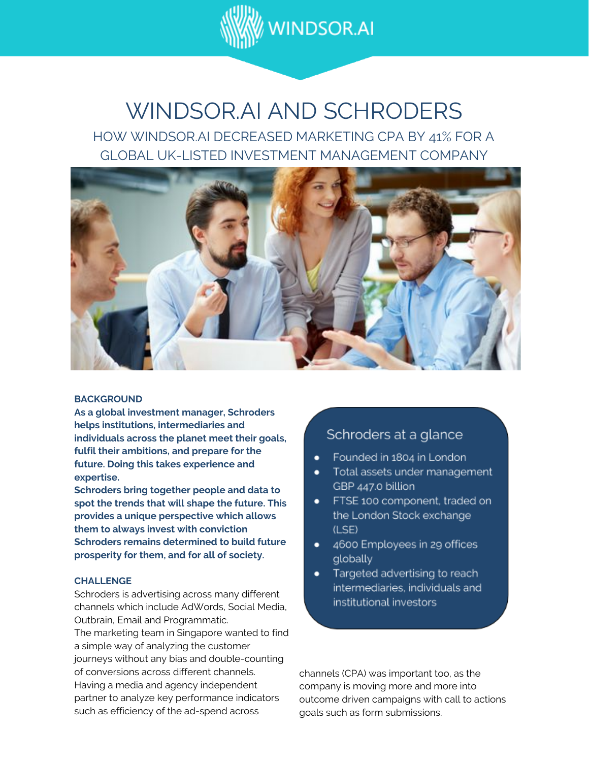

# WINDSOR.AI AND SCHRODERS

HOW WINDSOR.AI DECREASED MARKETING CPA BY 41% FOR A GLOBAL UK-LISTED INVESTMENT MANAGEMENT COMPANY



#### **BACKGROUND**

**As a global investment manager, Schroders helps institutions, intermediaries and individuals across the planet meet their goals, fulfil their ambitions, and prepare for the future. Doing this takes experience and expertise.**

**Schroders bring together people and data to spot the trends that will shape the future. This provides a unique perspective which allows them to always invest with conviction Schroders remains determined to build future prosperity for them, and for all of society.**

#### **CHALLENGE**

Schroders is advertising across many different channels which include AdWords, Social Media, Outbrain, Email and Programmatic.

The marketing team in Singapore wanted to find a simple way of analyzing the customer journeys without any bias and double-counting of conversions across different channels. Having a media and agency independent partner to analyze key performance indicators such as efficiency of the ad-spend across

## Schroders at a glance

- Founded in 1804 in London ٠
- Total assets under management GBP 447.0 billion
- FTSE 100 component, traded on the London Stock exchange (LSE)
- 4600 Employees in 29 offices globally
- Targeted advertising to reach ٠ intermediaries, individuals and institutional investors

channels (CPA) was important too, as the company is moving more and more into outcome driven campaigns with call to actions goals such as form submissions.